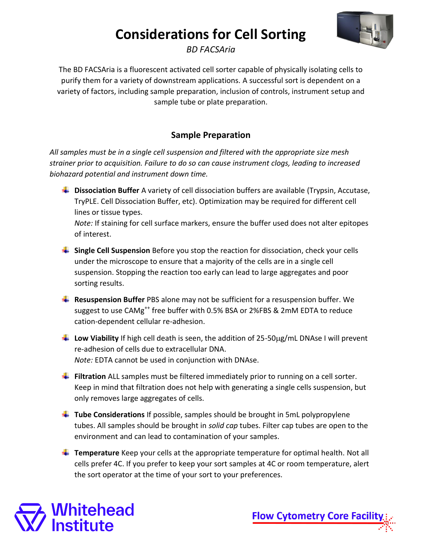

*BD FACSAria*

The BD FACSAria is a fluorescent activated cell sorter capable of physically isolating cells to purify them for a variety of downstream applications. A successful sort is dependent on a variety of factors, including sample preparation, inclusion of controls, instrument setup and sample tube or plate preparation.

## **Sample Preparation**

*All samples must be in a single cell suspension and filtered with the appropriate size mesh strainer prior to acquisition. Failure to do so can cause instrument clogs, leading to increased biohazard potential and instrument down time.* 

**L** Dissociation Buffer A variety of cell dissociation buffers are available (Trypsin, Accutase, TryPLE. Cell Dissociation Buffer, etc). Optimization may be required for different cell lines or tissue types.

*Note:* If staining for cell surface markers, ensure the buffer used does not alter epitopes of interest.

- **Single Cell Suspension** Before you stop the reaction for dissociation, check your cells under the microscope to ensure that a majority of the cells are in a single cell suspension. Stopping the reaction too early can lead to large aggregates and poor sorting results.
- **Resuspension Buffer** PBS alone may not be sufficient for a resuspension buffer. We suggest to use CAMg<sup>++</sup> free buffer with 0.5% BSA or 2%FBS & 2mM EDTA to reduce cation-dependent cellular re-adhesion.
- **Low Viability** If high cell death is seen, the addition of 25-50 µg/mL DNAse I will prevent re-adhesion of cells due to extracellular DNA. *Note:* EDTA cannot be used in conjunction with DNAse.
- **Filtration** ALL samples must be filtered immediately prior to running on a cell sorter. Keep in mind that filtration does not help with generating a single cells suspension, but only removes large aggregates of cells.
- **Tube Considerations** If possible, samples should be brought in 5mL polypropylene tubes. All samples should be brought in *solid cap* tubes. Filter cap tubes are open to the environment and can lead to contamination of your samples.
- **Temperature** Keep your cells at the appropriate temperature for optimal health. Not all cells prefer 4C. If you prefer to keep your sort samples at 4C or room temperature, alert the sort operator at the time of your sort to your preferences.

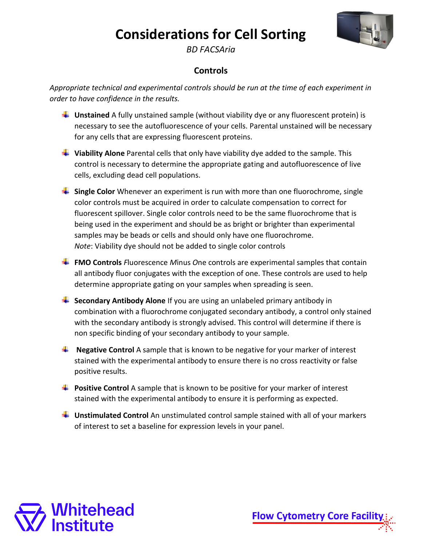

*BD FACSAria*

### **Controls**

*Appropriate technical and experimental controls should be run at the time of each experiment in order to have confidence in the results.* 

- **Unstained** A fully unstained sample (without viability dye or any fluorescent protein) is necessary to see the autofluorescence of your cells. Parental unstained will be necessary for any cells that are expressing fluorescent proteins.
- **Viability Alone** Parental cells that only have viability dye added to the sample. This control is necessary to determine the appropriate gating and autofluorescence of live cells, excluding dead cell populations.
- **Single Color** Whenever an experiment is run with more than one fluorochrome, single color controls must be acquired in order to calculate compensation to correct for fluorescent spillover. Single color controls need to be the same fluorochrome that is being used in the experiment and should be as bright or brighter than experimental samples may be beads or cells and should only have one fluorochrome. *Note*: Viability dye should not be added to single color controls
- **FMO Controls** *F*luorescence *M*inus *O*ne controls are experimental samples that contain all antibody fluor conjugates with the exception of one. These controls are used to help determine appropriate gating on your samples when spreading is seen.
- **Secondary Antibody Alone** If you are using an unlabeled primary antibody in combination with a fluorochrome conjugated secondary antibody, a control only stained with the secondary antibody is strongly advised. This control will determine if there is non specific binding of your secondary antibody to your sample.
- **Negative Control** A sample that is known to be negative for your marker of interest stained with the experimental antibody to ensure there is no cross reactivity or false positive results.
- **Positive Control** A sample that is known to be positive for your marker of interest stained with the experimental antibody to ensure it is performing as expected.
- **Unstimulated Control** An unstimulated control sample stained with all of your markers of interest to set a baseline for expression levels in your panel.

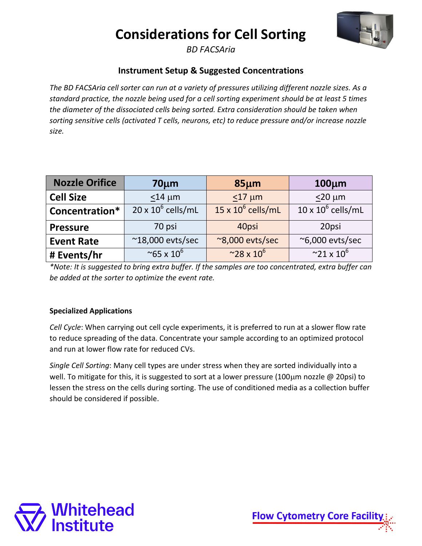

*BD FACSAria*

### **Instrument Setup & Suggested Concentrations**

*The BD FACSAria cell sorter can run at a variety of pressures utilizing different nozzle sizes. As a standard practice, the nozzle being used for a cell sorting experiment should be at least 5 times the diameter of the dissociated cells being sorted. Extra consideration should be taken when sorting sensitive cells (activated T cells, neurons, etc) to reduce pressure and/or increase nozzle size.* 

| <b>Nozzle Orifice</b> | $70 \mu m$                | $85 \mu m$                | $100 \mu m$                    |
|-----------------------|---------------------------|---------------------------|--------------------------------|
| <b>Cell Size</b>      | $\leq$ 14 µm              | $\leq$ 17 µm              | $\leq$ 20 µm                   |
| Concentration*        | $20 \times 10^6$ cells/mL | $15 \times 10^6$ cells/mL | $10 \times 10^6$ cells/mL      |
| <b>Pressure</b>       | 70 psi                    | 40psi                     | 20psi                          |
| <b>Event Rate</b>     | $^{\sim}$ 18,000 evts/sec | ~8,000 evts/sec           | ~6,000 evts/sec                |
| # Events/hr           | $~10^6$                   | $~28 \times 10^{6}$       | $^{\sim}$ 21 x 10 <sup>6</sup> |

*\*Note: It is suggested to bring extra buffer. If the samples are too concentrated, extra buffer can be added at the sorter to optimize the event rate.*

#### **Specialized Applications**

*Cell Cycle*: When carrying out cell cycle experiments, it is preferred to run at a slower flow rate to reduce spreading of the data. Concentrate your sample according to an optimized protocol and run at lower flow rate for reduced CVs.

*Single Cell Sorting*: Many cell types are under stress when they are sorted individually into a well. To mitigate for this, it is suggested to sort at a lower pressure (100 $\mu$ m nozzle @ 20psi) to lessen the stress on the cells during sorting. The use of conditioned media as a collection buffer should be considered if possible.